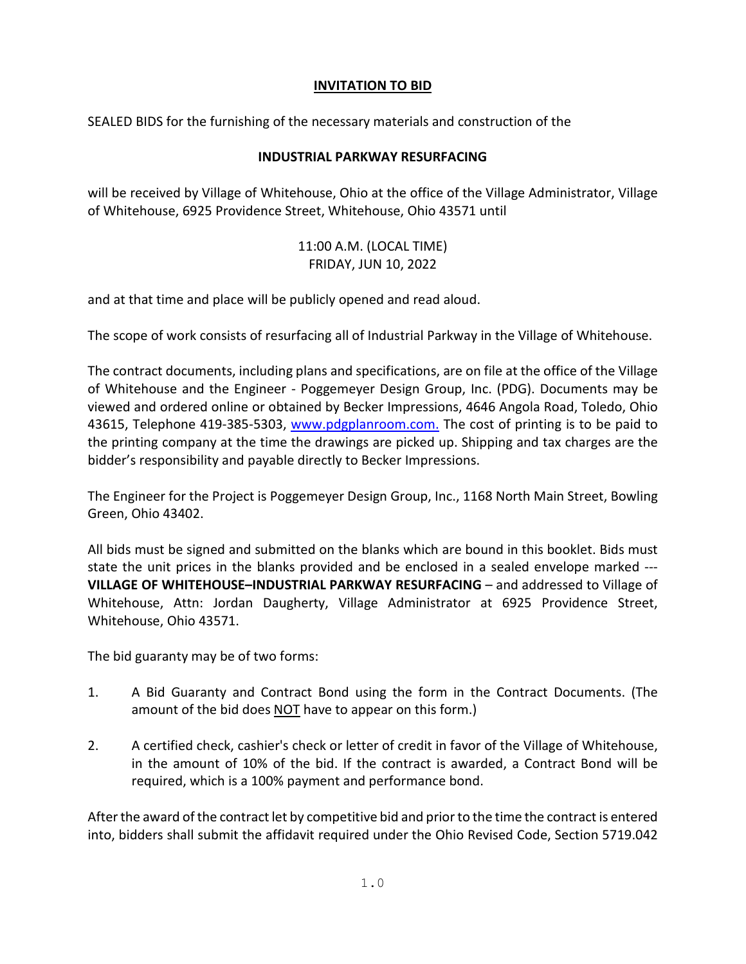## **INVITATION TO BID**

SEALED BIDS for the furnishing of the necessary materials and construction of the

## **INDUSTRIAL PARKWAY RESURFACING**

will be received by Village of Whitehouse, Ohio at the office of the Village Administrator, Village of Whitehouse, 6925 Providence Street, Whitehouse, Ohio 43571 until

> 11:00 A.M. (LOCAL TIME) FRIDAY, JUN 10, 2022

and at that time and place will be publicly opened and read aloud.

The scope of work consists of resurfacing all of Industrial Parkway in the Village of Whitehouse.

The contract documents, including plans and specifications, are on file at the office of the Village of Whitehouse and the Engineer - Poggemeyer Design Group, Inc. (PDG). Documents may be viewed and ordered online or obtained by Becker Impressions, 4646 Angola Road, Toledo, Ohio 43615, Telephone 419-385-5303, [www.pdgplanroom.com.](http://www.pdgplanroom.com./) The cost of printing is to be paid to the printing company at the time the drawings are picked up. Shipping and tax charges are the bidder's responsibility and payable directly to Becker Impressions.

The Engineer for the Project is Poggemeyer Design Group, Inc., 1168 North Main Street, Bowling Green, Ohio 43402.

All bids must be signed and submitted on the blanks which are bound in this booklet. Bids must state the unit prices in the blanks provided and be enclosed in a sealed envelope marked --- **VILLAGE OF WHITEHOUSE–INDUSTRIAL PARKWAY RESURFACING** – and addressed to Village of Whitehouse, Attn: Jordan Daugherty, Village Administrator at 6925 Providence Street, Whitehouse, Ohio 43571.

The bid guaranty may be of two forms:

- 1. A Bid Guaranty and Contract Bond using the form in the Contract Documents. (The amount of the bid does NOT have to appear on this form.)
- 2. A certified check, cashier's check or letter of credit in favor of the Village of Whitehouse, in the amount of 10% of the bid. If the contract is awarded, a Contract Bond will be required, which is a 100% payment and performance bond.

After the award of the contract let by competitive bid and prior to the time the contract is entered into, bidders shall submit the affidavit required under the Ohio Revised Code, Section 5719.042